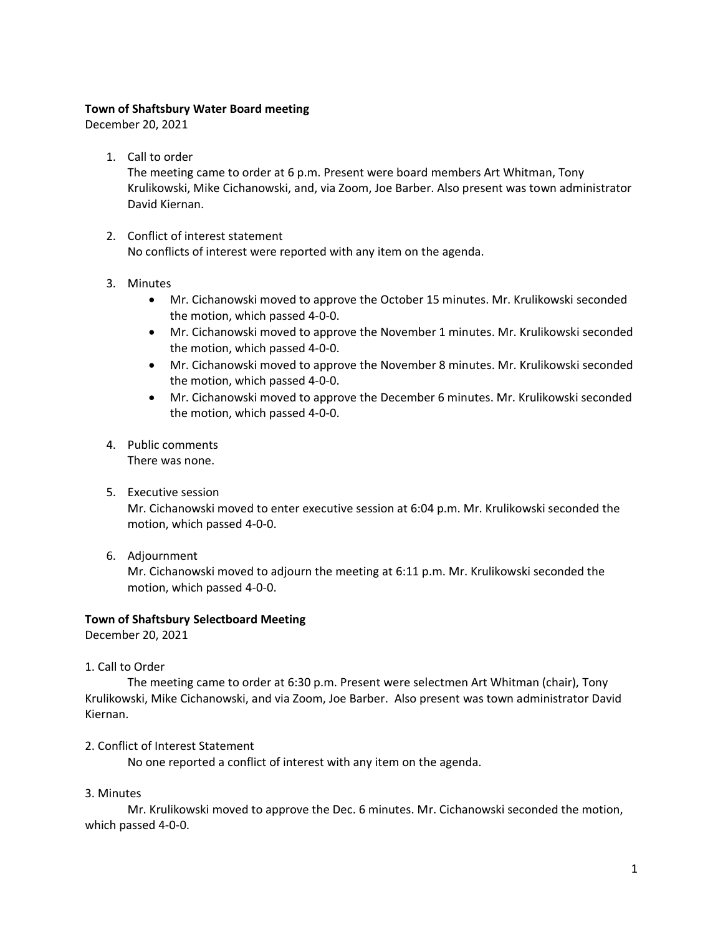# **Town of Shaftsbury Water Board meeting**

December 20, 2021

1. Call to order

The meeting came to order at 6 p.m. Present were board members Art Whitman, Tony Krulikowski, Mike Cichanowski, and, via Zoom, Joe Barber. Also present was town administrator David Kiernan.

- 2. Conflict of interest statement No conflicts of interest were reported with any item on the agenda.
- 3. Minutes
	- Mr. Cichanowski moved to approve the October 15 minutes. Mr. Krulikowski seconded the motion, which passed 4-0-0.
	- Mr. Cichanowski moved to approve the November 1 minutes. Mr. Krulikowski seconded the motion, which passed 4-0-0.
	- Mr. Cichanowski moved to approve the November 8 minutes. Mr. Krulikowski seconded the motion, which passed 4-0-0.
	- Mr. Cichanowski moved to approve the December 6 minutes. Mr. Krulikowski seconded the motion, which passed 4-0-0.
- 4. Public comments There was none.
- 5. Executive session

Mr. Cichanowski moved to enter executive session at 6:04 p.m. Mr. Krulikowski seconded the motion, which passed 4-0-0.

6. Adjournment

Mr. Cichanowski moved to adjourn the meeting at 6:11 p.m. Mr. Krulikowski seconded the motion, which passed 4-0-0.

### **Town of Shaftsbury Selectboard Meeting**

December 20, 2021

1. Call to Order

The meeting came to order at 6:30 p.m. Present were selectmen Art Whitman (chair), Tony Krulikowski, Mike Cichanowski, and via Zoom, Joe Barber. Also present was town administrator David Kiernan.

### 2. Conflict of Interest Statement

No one reported a conflict of interest with any item on the agenda.

3. Minutes

Mr. Krulikowski moved to approve the Dec. 6 minutes. Mr. Cichanowski seconded the motion, which passed 4-0-0.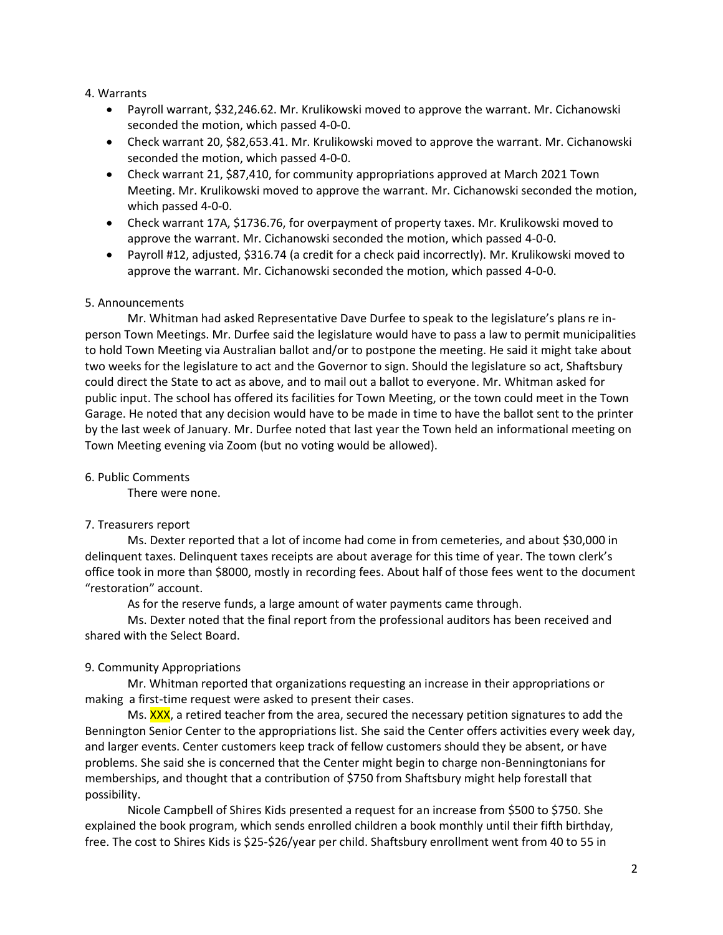### 4. Warrants

- Payroll warrant, \$32,246.62. Mr. Krulikowski moved to approve the warrant. Mr. Cichanowski seconded the motion, which passed 4-0-0.
- Check warrant 20, \$82,653.41. Mr. Krulikowski moved to approve the warrant. Mr. Cichanowski seconded the motion, which passed 4-0-0.
- Check warrant 21, \$87,410, for community appropriations approved at March 2021 Town Meeting. Mr. Krulikowski moved to approve the warrant. Mr. Cichanowski seconded the motion, which passed 4-0-0.
- Check warrant 17A, \$1736.76, for overpayment of property taxes. Mr. Krulikowski moved to approve the warrant. Mr. Cichanowski seconded the motion, which passed 4-0-0.
- Payroll #12, adjusted, \$316.74 (a credit for a check paid incorrectly). Mr. Krulikowski moved to approve the warrant. Mr. Cichanowski seconded the motion, which passed 4-0-0.

# 5. Announcements

Mr. Whitman had asked Representative Dave Durfee to speak to the legislature's plans re inperson Town Meetings. Mr. Durfee said the legislature would have to pass a law to permit municipalities to hold Town Meeting via Australian ballot and/or to postpone the meeting. He said it might take about two weeks for the legislature to act and the Governor to sign. Should the legislature so act, Shaftsbury could direct the State to act as above, and to mail out a ballot to everyone. Mr. Whitman asked for public input. The school has offered its facilities for Town Meeting, or the town could meet in the Town Garage. He noted that any decision would have to be made in time to have the ballot sent to the printer by the last week of January. Mr. Durfee noted that last year the Town held an informational meeting on Town Meeting evening via Zoom (but no voting would be allowed).

### 6. Public Comments

There were none.

# 7. Treasurers report

Ms. Dexter reported that a lot of income had come in from cemeteries, and about \$30,000 in delinquent taxes. Delinquent taxes receipts are about average for this time of year. The town clerk's office took in more than \$8000, mostly in recording fees. About half of those fees went to the document "restoration" account.

As for the reserve funds, a large amount of water payments came through.

Ms. Dexter noted that the final report from the professional auditors has been received and shared with the Select Board.

# 9. Community Appropriations

Mr. Whitman reported that organizations requesting an increase in their appropriations or making a first-time request were asked to present their cases.

Ms. XXX, a retired teacher from the area, secured the necessary petition signatures to add the Bennington Senior Center to the appropriations list. She said the Center offers activities every week day, and larger events. Center customers keep track of fellow customers should they be absent, or have problems. She said she is concerned that the Center might begin to charge non-Benningtonians for memberships, and thought that a contribution of \$750 from Shaftsbury might help forestall that possibility.

Nicole Campbell of Shires Kids presented a request for an increase from \$500 to \$750. She explained the book program, which sends enrolled children a book monthly until their fifth birthday, free. The cost to Shires Kids is \$25-\$26/year per child. Shaftsbury enrollment went from 40 to 55 in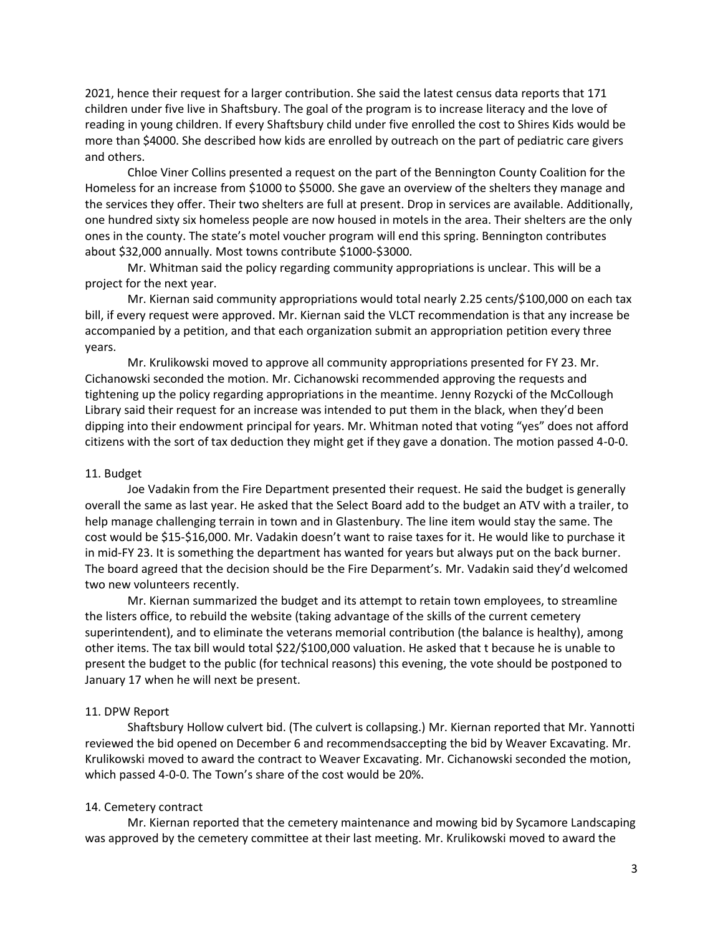2021, hence their request for a larger contribution. She said the latest census data reports that 171 children under five live in Shaftsbury. The goal of the program is to increase literacy and the love of reading in young children. If every Shaftsbury child under five enrolled the cost to Shires Kids would be more than \$4000. She described how kids are enrolled by outreach on the part of pediatric care givers and others.

Chloe Viner Collins presented a request on the part of the Bennington County Coalition for the Homeless for an increase from \$1000 to \$5000. She gave an overview of the shelters they manage and the services they offer. Their two shelters are full at present. Drop in services are available. Additionally, one hundred sixty six homeless people are now housed in motels in the area. Their shelters are the only ones in the county. The state's motel voucher program will end this spring. Bennington contributes about \$32,000 annually. Most towns contribute \$1000-\$3000.

Mr. Whitman said the policy regarding community appropriations is unclear. This will be a project for the next year.

Mr. Kiernan said community appropriations would total nearly 2.25 cents/\$100,000 on each tax bill, if every request were approved. Mr. Kiernan said the VLCT recommendation is that any increase be accompanied by a petition, and that each organization submit an appropriation petition every three years.

Mr. Krulikowski moved to approve all community appropriations presented for FY 23. Mr. Cichanowski seconded the motion. Mr. Cichanowski recommended approving the requests and tightening up the policy regarding appropriations in the meantime. Jenny Rozycki of the McCollough Library said their request for an increase was intended to put them in the black, when they'd been dipping into their endowment principal for years. Mr. Whitman noted that voting "yes" does not afford citizens with the sort of tax deduction they might get if they gave a donation. The motion passed 4-0-0.

### 11. Budget

Joe Vadakin from the Fire Department presented their request. He said the budget is generally overall the same as last year. He asked that the Select Board add to the budget an ATV with a trailer, to help manage challenging terrain in town and in Glastenbury. The line item would stay the same. The cost would be \$15-\$16,000. Mr. Vadakin doesn't want to raise taxes for it. He would like to purchase it in mid-FY 23. It is something the department has wanted for years but always put on the back burner. The board agreed that the decision should be the Fire Deparment's. Mr. Vadakin said they'd welcomed two new volunteers recently.

Mr. Kiernan summarized the budget and its attempt to retain town employees, to streamline the listers office, to rebuild the website (taking advantage of the skills of the current cemetery superintendent), and to eliminate the veterans memorial contribution (the balance is healthy), among other items. The tax bill would total \$22/\$100,000 valuation. He asked that t because he is unable to present the budget to the public (for technical reasons) this evening, the vote should be postponed to January 17 when he will next be present.

### 11. DPW Report

Shaftsbury Hollow culvert bid. (The culvert is collapsing.) Mr. Kiernan reported that Mr. Yannotti reviewed the bid opened on December 6 and recommendsaccepting the bid by Weaver Excavating. Mr. Krulikowski moved to award the contract to Weaver Excavating. Mr. Cichanowski seconded the motion, which passed 4-0-0. The Town's share of the cost would be 20%.

#### 14. Cemetery contract

Mr. Kiernan reported that the cemetery maintenance and mowing bid by Sycamore Landscaping was approved by the cemetery committee at their last meeting. Mr. Krulikowski moved to award the